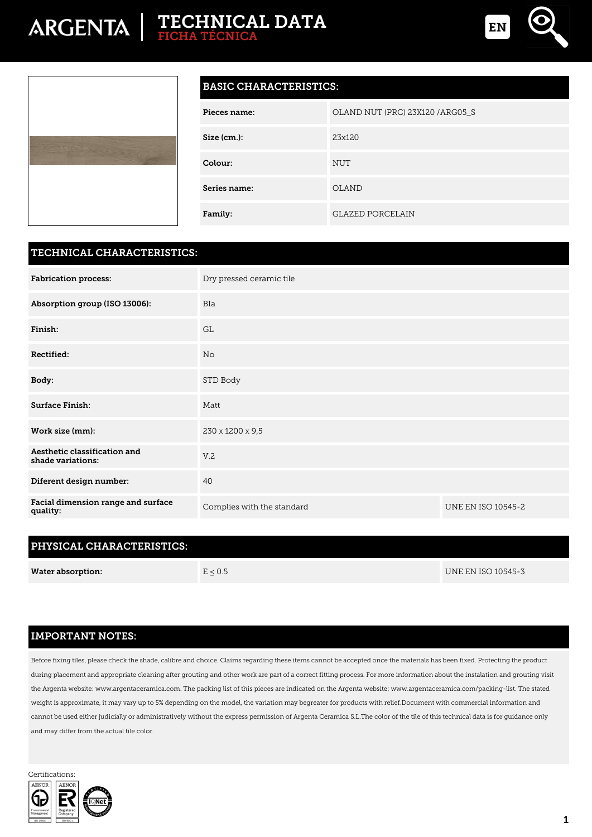## **TECHNICAL DATA FICHA TÉCNICA**





#### **BASIC CHARACTERISTICS:**

| Pieces name: | OLAND NUT (PRC) 23X120 / ARG05_S |
|--------------|----------------------------------|
| Size (cm.):  | 23x120                           |
| Colour:      | <b>NUT</b>                       |
| Series name: | <b>OLAND</b>                     |
| Family:      | <b>GLAZED PORCELAIN</b>          |

#### **TECHNICAL CHARACTERISTICS:**

| <b>Fabrication process:</b>                       | Dry pressed ceramic tile   |                           |  |
|---------------------------------------------------|----------------------------|---------------------------|--|
| Absorption group (ISO 13006):                     | <b>BIa</b>                 |                           |  |
| Finish:                                           | <b>GL</b>                  |                           |  |
| Rectified:                                        | No                         |                           |  |
| Body:                                             | STD Body                   |                           |  |
| Surface Finish:                                   | Matt                       |                           |  |
| Work size (mm):                                   | 230 x 1200 x 9,5           |                           |  |
| Aesthetic classification and<br>shade variations: | V.2                        |                           |  |
| Diferent design number:                           | 40                         |                           |  |
| Facial dimension range and surface<br>quality:    | Complies with the standard | <b>UNE EN ISO 10545-2</b> |  |

### **PHYSICAL CHARACTERISTICS:**

| <b>Water absorption:</b> | E < 0.5 | UNE EN ISO 10545-3 |
|--------------------------|---------|--------------------|
|                          |         |                    |

#### **IMPORTANT NOTES:**

Before fixing tiles, please check the shade, calibre and choice. Claims regarding these items cannot be accepted once the materials has been fixed. Protecting the product during placement and appropriate cleaning after grouting and other work are part of a correct fitting process. For more information about the instalation and grouting visit the Argenta website: www.argentaceramica.com. The packing list of this pieces are indicated on the Argenta website: www.argentaceramica.com/packing-list. The stated weight is approximate, it may vary up to 5% depending on the model, the variation may begreater for products with relief.Document with commercial information and cannot be used either judicially or administratively without the express permission of Argenta Ceramica S.L.The color of the tile of this technical data is for guidance only and may differ from the actual tile color.